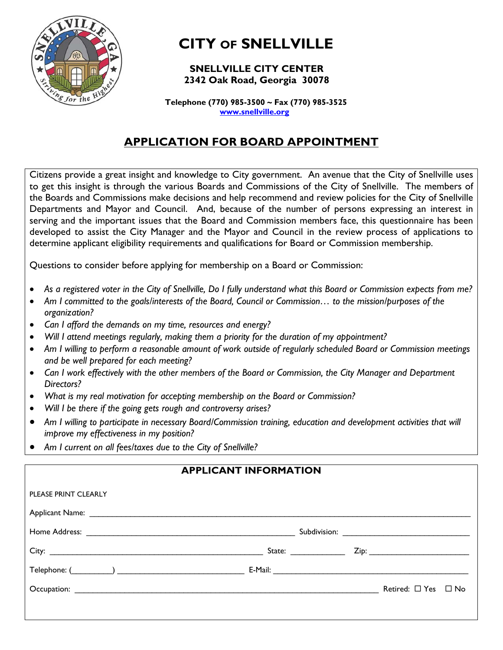

# **CITY OF SNELLVILLE**

### **SNELLVILLE CITY CENTER 2342 Oak Road, Georgia 30078**

 **Telephone (770) 985-3500 ~ Fax (770) 985-3525 www.snellville.org**

## **APPLICATION FOR BOARD APPOINTMENT**

Citizens provide a great insight and knowledge to City government. An avenue that the City of Snellville uses to get this insight is through the various Boards and Commissions of the City of Snellville. The members of the Boards and Commissions make decisions and help recommend and review policies for the City of Snellville Departments and Mayor and Council. And, because of the number of persons expressing an interest in serving and the important issues that the Board and Commission members face, this questionnaire has been developed to assist the City Manager and the Mayor and Council in the review process of applications to determine applicant eligibility requirements and qualifications for Board or Commission membership.

Questions to consider before applying for membership on a Board or Commission:

- *As a registered voter in the City of Snellville, Do I fully understand what this Board or Commission expects from me?*
- *Am I committed to the goals/interests of the Board, Council or Commission… to the mission/purposes of the organization?*
- *Can I afford the demands on my time, resources and energy?*
- *Will I attend meetings regularly, making them a priority for the duration of my appointment?*
- *Am I willing to perform a reasonable amount of work outside of regularly scheduled Board or Commission meetings and be well prepared for each meeting?*
- *Can I work effectively with the other members of the Board or Commission, the City Manager and Department Directors?*
- *What is my real motivation for accepting membership on the Board or Commission?*
- *Will I be there if the going gets rough and controversy arises?*
- Am I willing to participate in necessary Board/Commission training, education and development activities that will *improve my effectiveness in my position?*
- *Am I current on all fees/taxes due to the City of Snellville?*

### **APPLICANT INFORMATION**

| PLEASE PRINT CLEARLY                                                                                                                                                                                                           |                                                                                                                                                                                                                                |                               |  |
|--------------------------------------------------------------------------------------------------------------------------------------------------------------------------------------------------------------------------------|--------------------------------------------------------------------------------------------------------------------------------------------------------------------------------------------------------------------------------|-------------------------------|--|
|                                                                                                                                                                                                                                |                                                                                                                                                                                                                                |                               |  |
|                                                                                                                                                                                                                                |                                                                                                                                                                                                                                |                               |  |
|                                                                                                                                                                                                                                | State: will be a state of the state of the state of the state of the state of the state of the state of the state of the state of the state of the state of the state of the state of the state of the state of the state of t |                               |  |
|                                                                                                                                                                                                                                |                                                                                                                                                                                                                                |                               |  |
| Occupation: Design and the contract of the contract of the contract of the contract of the contract of the contract of the contract of the contract of the contract of the contract of the contract of the contract of the con |                                                                                                                                                                                                                                | Retired: $\Box$ Yes $\Box$ No |  |
|                                                                                                                                                                                                                                |                                                                                                                                                                                                                                |                               |  |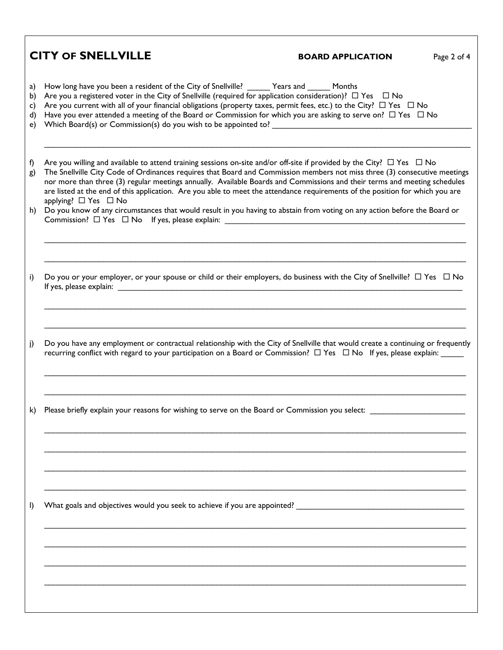|                            | <b>CITY OF SNELLVILLE</b>                                                                                                                                                                                                                                                                                                                                                                                                                                                                                                                                                                                                                                                                                                                                           | <b>BOARD APPLICATION</b> | Page 2 of 4 |  |  |  |
|----------------------------|---------------------------------------------------------------------------------------------------------------------------------------------------------------------------------------------------------------------------------------------------------------------------------------------------------------------------------------------------------------------------------------------------------------------------------------------------------------------------------------------------------------------------------------------------------------------------------------------------------------------------------------------------------------------------------------------------------------------------------------------------------------------|--------------------------|-------------|--|--|--|
| a)<br>b)<br>c)<br>d)<br>e) | How long have you been a resident of the City of Snellville? _______ Years and ______ Months<br>Are you a registered voter in the City of Snellville (required for application consideration)? $\Box$ Yes $\Box$ No<br>Are you current with all of your financial obligations (property taxes, permit fees, etc.) to the City? $\Box$ Yes $\Box$ No<br>Have you ever attended a meeting of the Board or Commission for which you are asking to serve on? $\Box$ Yes $\Box$ No                                                                                                                                                                                                                                                                                       |                          |             |  |  |  |
| f)<br>g)<br>h)             | Are you willing and available to attend training sessions on-site and/or off-site if provided by the City? $\Box$ Yes $\Box$ No<br>The Snellville City Code of Ordinances requires that Board and Commission members not miss three (3) consecutive meetings<br>nor more than three (3) regular meetings annually. Available Boards and Commissions and their terms and meeting schedules<br>are listed at the end of this application. Are you able to meet the attendance requirements of the position for which you are<br>applying? □ Yes □ No<br>Do you know of any circumstances that would result in you having to abstain from voting on any action before the Board or<br>Commission? □ Yes □ No If yes, please explain: _________________________________ |                          |             |  |  |  |
| i)                         | Do you or your employer, or your spouse or child or their employers, do business with the City of Snellville? $\Box$ Yes $\Box$ No                                                                                                                                                                                                                                                                                                                                                                                                                                                                                                                                                                                                                                  |                          |             |  |  |  |
| j)                         | Do you have any employment or contractual relationship with the City of Snellville that would create a continuing or frequently<br>recurring conflict with regard to your participation on a Board or Commission? $\Box$ Yes $\Box$ No If yes, please explain: _____                                                                                                                                                                                                                                                                                                                                                                                                                                                                                                |                          |             |  |  |  |
| k)                         | Please briefly explain your reasons for wishing to serve on the Board or Commission you select:                                                                                                                                                                                                                                                                                                                                                                                                                                                                                                                                                                                                                                                                     |                          |             |  |  |  |
| $\mathsf{I}$               |                                                                                                                                                                                                                                                                                                                                                                                                                                                                                                                                                                                                                                                                                                                                                                     |                          |             |  |  |  |
|                            |                                                                                                                                                                                                                                                                                                                                                                                                                                                                                                                                                                                                                                                                                                                                                                     |                          |             |  |  |  |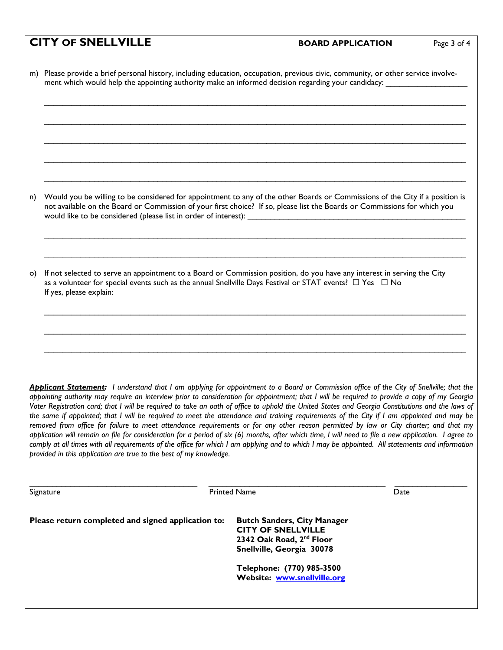### **CITY OF SNELLVILLE BOARD APPLICATION** Page 3 of 4

m) Please provide a brief personal history, including education, occupation, previous civic, community, or other service involve ment which would help the appointing authority make an informed decision regarding your candidacy:

n) Would you be willing to be considered for appointment to any of the other Boards or Commissions of the City if a position is not available on the Board or Commission of your first choice? If so, please list the Boards or Commissions for which you would like to be considered (please list in order of interest):

\_\_\_\_\_\_\_\_\_\_\_\_\_\_\_\_\_\_\_\_\_\_\_\_\_\_\_\_\_\_\_\_\_\_\_\_\_\_\_\_\_\_\_\_\_\_\_\_\_\_\_\_\_\_\_\_\_\_\_\_\_\_\_\_\_\_\_\_\_\_\_\_\_\_\_\_\_\_\_\_\_\_\_\_\_\_\_\_\_\_\_\_\_

\_\_\_\_\_\_\_\_\_\_\_\_\_\_\_\_\_\_\_\_\_\_\_\_\_\_\_\_\_\_\_\_\_\_\_\_\_\_\_\_\_\_\_\_\_\_\_\_\_\_\_\_\_\_\_\_\_\_\_\_\_\_\_\_\_\_\_\_\_\_\_\_\_\_\_\_\_\_\_\_\_\_\_\_\_\_\_\_\_\_\_\_\_

\_\_\_\_\_\_\_\_\_\_\_\_\_\_\_\_\_\_\_\_\_\_\_\_\_\_\_\_\_\_\_\_\_\_\_\_\_\_\_\_\_\_\_\_\_\_\_\_\_\_\_\_\_\_\_\_\_\_\_\_\_\_\_\_\_\_\_\_\_\_\_\_\_\_\_\_\_\_\_\_\_\_\_\_\_\_\_\_\_\_\_\_\_

\_\_\_\_\_\_\_\_\_\_\_\_\_\_\_\_\_\_\_\_\_\_\_\_\_\_\_\_\_\_\_\_\_\_\_\_\_\_\_\_\_\_\_\_\_\_\_\_\_\_\_\_\_\_\_\_\_\_\_\_\_\_\_\_\_\_\_\_\_\_\_\_\_\_\_\_\_\_\_\_\_\_\_\_\_\_\_\_\_\_\_\_\_

 $\mathcal{L}_\mathcal{L} = \mathcal{L}_\mathcal{L} = \mathcal{L}_\mathcal{L} = \mathcal{L}_\mathcal{L} = \mathcal{L}_\mathcal{L} = \mathcal{L}_\mathcal{L} = \mathcal{L}_\mathcal{L} = \mathcal{L}_\mathcal{L} = \mathcal{L}_\mathcal{L} = \mathcal{L}_\mathcal{L} = \mathcal{L}_\mathcal{L} = \mathcal{L}_\mathcal{L} = \mathcal{L}_\mathcal{L} = \mathcal{L}_\mathcal{L} = \mathcal{L}_\mathcal{L} = \mathcal{L}_\mathcal{L} = \mathcal{L}_\mathcal{L}$ 

o) If not selected to serve an appointment to a Board or Commission position, do you have any interest in serving the City as a volunteer for special events such as the annual Snellville Days Festival or STAT events?  $\Box$  Yes  $\Box$  No If yes, please explain:

*Applicant Statement: I understand that I am applying for appointment to a Board or Commission office of the City of Snellville; that the appointing authority may require an interview prior to consideration for appointment; that I will be required to provide a copy of my Georgia Voter Registration card; that I will be required to take an oath of office to uphold the United States and Georgia Constitutions and the laws of the same if appointed; that I will be required to meet the attendance and training requirements of the City if I am appointed and may be removed from office for failure to meet attendance requirements or for any other reason permitted by law or City charter; and that my application will remain on file for consideration for a period of six (6) months, after which time, I will need to file a new application. I agree to comply at all times with all requirements of the office for which I am applying and to which I may be appointed. All statements and information provided in this application are true to the best of my knowledge.* 

| Signature                                          | <b>Printed Name</b>                                                                                                                  | Date |
|----------------------------------------------------|--------------------------------------------------------------------------------------------------------------------------------------|------|
| Please return completed and signed application to: | <b>Butch Sanders, City Manager</b><br><b>CITY OF SNELLVILLE</b><br>2342 Oak Road, 2 <sup>nd</sup> Floor<br>Snellville, Georgia 30078 |      |
|                                                    | Telephone: (770) 985-3500<br>Website: www.snellville.org                                                                             |      |